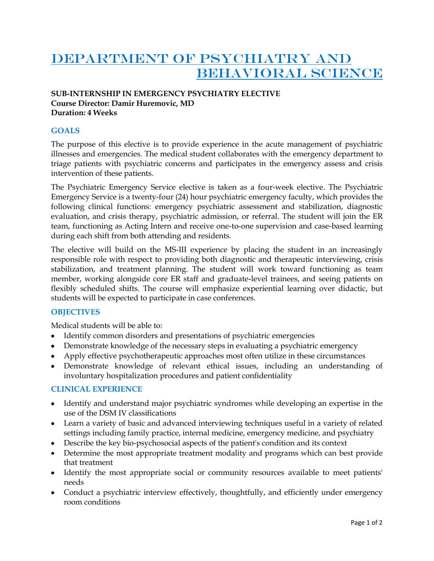# DEPARTMENT OF PSYCHIATRY AND BEHAVIORAL SCIENCE

## **SUB-INTERNSHIP IN EMERGENCY PSYCHIATRY ELECTIVE Course Director: Damir Huremovic, MD Duration: 4 Weeks**

## **GOALS**

The purpose of this elective is to provide experience in the acute management of psychiatric illnesses and emergencies. The medical student collaborates with the emergency department to triage patients with psychiatric concerns and participates in the emergency assess and crisis intervention of these patients.

The Psychiatric Emergency Service elective is taken as a four-week elective. The Psychiatric Emergency Service is a twenty-four (24) hour psychiatric emergency faculty, which provides the following clinical functions: emergency psychiatric assessment and stabilization, diagnostic evaluation, and crisis therapy, psychiatric admission, or referral. The student will join the ER team, functioning as Acting Intern and receive one-to-one supervision and case-based learning during each shift from both attending and residents.

The elective will build on the MS-III experience by placing the student in an increasingly responsible role with respect to providing both diagnostic and therapeutic interviewing, crisis stabilization, and treatment planning. The student will work toward functioning as team member, working alongside core ER staff and graduate-level trainees, and seeing patients on flexibly scheduled shifts. The course will emphasize experiential learning over didactic, but students will be expected to participate in case conferences.

## **OBJECTIVES**

Medical students will be able to:

- Identify common disorders and presentations of psychiatric emergencies
- Demonstrate knowledge of the necessary steps in evaluating a psychiatric emergency
- Apply effective psychotherapeutic approaches most often utilize in these circumstances
- Demonstrate knowledge of relevant ethical issues, including an understanding of involuntary hospitalization procedures and patient confidentiality

#### **CLINICAL EXPERIENCE**

- Identify and understand major psychiatric syndromes while developing an expertise in the use of the DSM IV classifications
- Learn a variety of basic and advanced interviewing techniques useful in a variety of related settings including family practice, internal medicine, emergency medicine, and psychiatry
- Describe the key bio-psychosocial aspects of the patient's condition and its context
- Determine the most appropriate treatment modality and programs which can best provide that treatment
- Identify the most appropriate social or community resources available to meet patients' needs
- Conduct a psychiatric interview effectively, thoughtfully, and efficiently under emergency room conditions